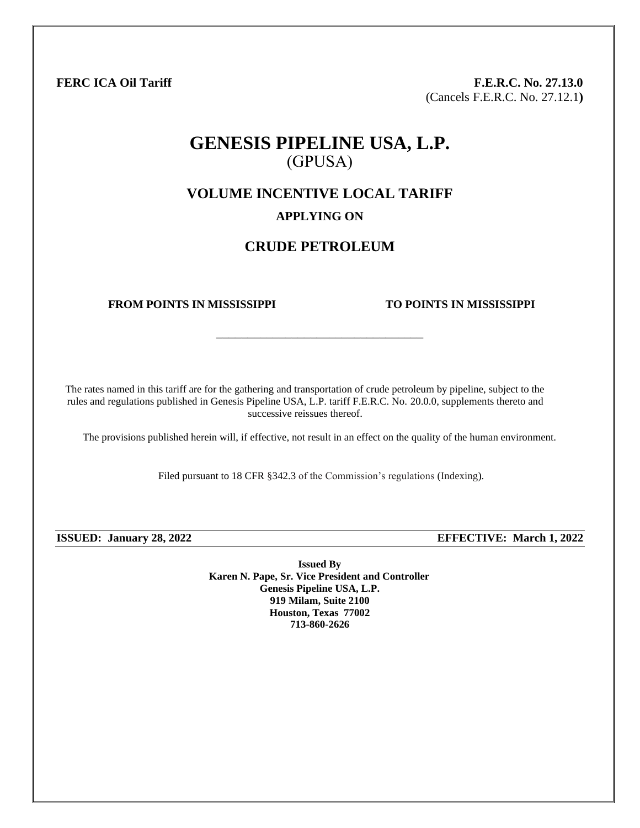**FERC ICA Oil Tariff F.E.R.C. No. 27.13.0** (Cancels F.E.R.C. No. 27.12.1**)**

# **GENESIS PIPELINE USA, L.P.** (GPUSA)

**VOLUME INCENTIVE LOCAL TARIFF**

## **APPLYING ON**

## **CRUDE PETROLEUM**

\_\_\_\_\_\_\_\_\_\_\_\_\_\_\_\_\_\_\_\_\_\_\_\_\_\_\_\_\_\_\_\_\_

### **FROM POINTS IN MISSISSIPPI TO POINTS IN MISSISSIPPI**

The rates named in this tariff are for the gathering and transportation of crude petroleum by pipeline, subject to the rules and regulations published in Genesis Pipeline USA, L.P. tariff F.E.R.C. No. 20.0.0, supplements thereto and successive reissues thereof.

The provisions published herein will, if effective, not result in an effect on the quality of the human environment.

Filed pursuant to 18 CFR §342.3 of the Commission's regulations (Indexing).

**ISSUED: January 28, 2022 EFFECTIVE: March 1, 2022**

**Issued By Karen N. Pape, Sr. Vice President and Controller Genesis Pipeline USA, L.P. 919 Milam, Suite 2100 Houston, Texas 77002 713-860-2626**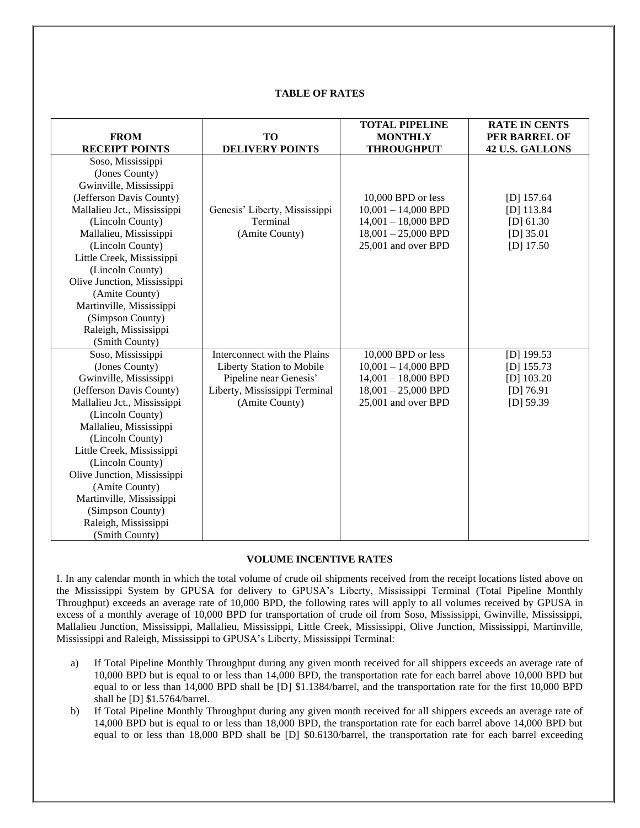#### **TABLE OF RATES**

|                             |                               | <b>TOTAL PIPELINE</b> | <b>RATE IN CENTS</b> |
|-----------------------------|-------------------------------|-----------------------|----------------------|
| <b>FROM</b>                 | <b>TO</b>                     | <b>MONTHLY</b>        | PER BARREL OF        |
| <b>RECEIPT POINTS</b>       | <b>DELIVERY POINTS</b>        | <b>THROUGHPUT</b>     | 42 U.S. GALLONS      |
| Soso, Mississippi           |                               |                       |                      |
| (Jones County)              |                               |                       |                      |
| Gwinville, Mississippi      |                               |                       |                      |
| (Jefferson Davis County)    |                               | 10,000 BPD or less    | $[D]$ 157.64         |
| Mallalieu Jct., Mississippi | Genesis' Liberty, Mississippi | $10,001 - 14,000$ BPD | $[D]$ 113.84         |
| (Lincoln County)            | Terminal                      | $14,001 - 18,000$ BPD | [D] 61.30            |
| Mallalieu, Mississippi      | (Amite County)                | $18,001 - 25,000$ BPD | $[D]$ 35.01          |
| (Lincoln County)            |                               | 25,001 and over BPD   | $[D]$ 17.50          |
| Little Creek, Mississippi   |                               |                       |                      |
| (Lincoln County)            |                               |                       |                      |
| Olive Junction, Mississippi |                               |                       |                      |
| (Amite County)              |                               |                       |                      |
| Martinville, Mississippi    |                               |                       |                      |
| (Simpson County)            |                               |                       |                      |
| Raleigh, Mississippi        |                               |                       |                      |
| (Smith County)              |                               |                       |                      |
| Soso, Mississippi           | Interconnect with the Plains  | 10,000 BPD or less    | $[D]$ 199.53         |
| (Jones County)              | Liberty Station to Mobile     | $10,001 - 14,000$ BPD | $[D]$ 155.73         |
| Gwinville, Mississippi      | Pipeline near Genesis'        | $14,001 - 18,000$ BPD | $[D]$ 103.20         |
| (Jefferson Davis County)    | Liberty, Mississippi Terminal | $18,001 - 25,000$ BPD | $[D]$ 76.91          |
| Mallalieu Jct., Mississippi | (Amite County)                | 25,001 and over BPD   | $[D]$ 59.39          |
| (Lincoln County)            |                               |                       |                      |
| Mallalieu, Mississippi      |                               |                       |                      |
| (Lincoln County)            |                               |                       |                      |
| Little Creek, Mississippi   |                               |                       |                      |
| (Lincoln County)            |                               |                       |                      |
| Olive Junction, Mississippi |                               |                       |                      |
| (Amite County)              |                               |                       |                      |
| Martinville, Mississippi    |                               |                       |                      |
| (Simpson County)            |                               |                       |                      |
| Raleigh, Mississippi        |                               |                       |                      |
| (Smith County)              |                               |                       |                      |

#### **VOLUME INCENTIVE RATES**

I. In any calendar month in which the total volume of crude oil shipments received from the receipt locations listed above on the Mississippi System by GPUSA for delivery to GPUSA's Liberty, Mississippi Terminal (Total Pipeline Monthly Throughput) exceeds an average rate of 10,000 BPD, the following rates will apply to all volumes received by GPUSA in excess of a monthly average of 10,000 BPD for transportation of crude oil from Soso, Mississippi, Gwinville, Mississippi, Mallalieu Junction, Mississippi, Mallalieu, Mississippi, Little Creek, Mississippi, Olive Junction, Mississippi, Martinville, Mississippi and Raleigh, Mississippi to GPUSA's Liberty, Mississippi Terminal:

- a) If Total Pipeline Monthly Throughput during any given month received for all shippers exceeds an average rate of 10,000 BPD but is equal to or less than 14,000 BPD, the transportation rate for each barrel above 10,000 BPD but equal to or less than 14,000 BPD shall be [D] \$1.1384/barrel, and the transportation rate for the first 10,000 BPD shall be [D] \$1.5764/barrel.
- b) If Total Pipeline Monthly Throughput during any given month received for all shippers exceeds an average rate of 14,000 BPD but is equal to or less than 18,000 BPD, the transportation rate for each barrel above 14,000 BPD but equal to or less than 18,000 BPD shall be [D] \$0.6130/barrel, the transportation rate for each barrel exceeding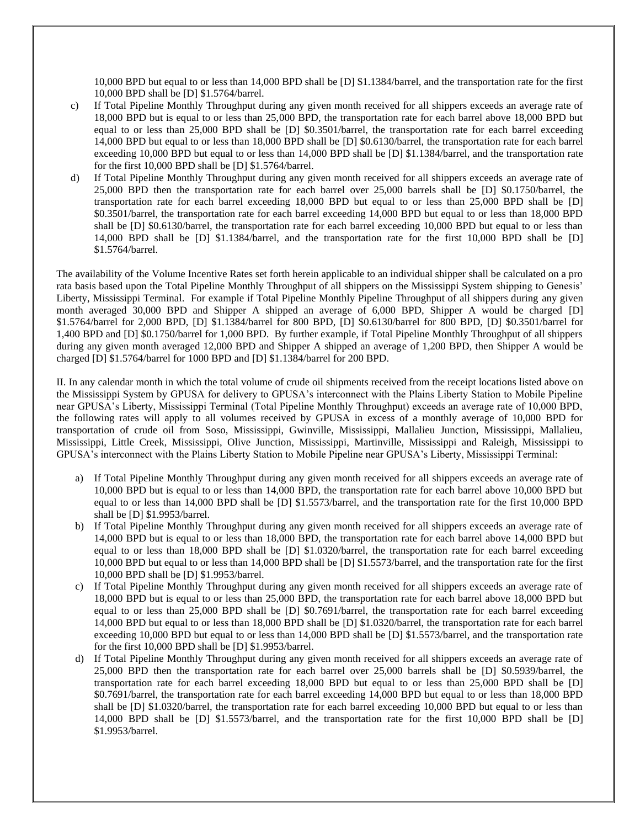10,000 BPD but equal to or less than 14,000 BPD shall be [D] \$1.1384/barrel, and the transportation rate for the first 10,000 BPD shall be [D] \$1.5764/barrel.

- c) If Total Pipeline Monthly Throughput during any given month received for all shippers exceeds an average rate of 18,000 BPD but is equal to or less than 25,000 BPD, the transportation rate for each barrel above 18,000 BPD but equal to or less than 25,000 BPD shall be [D] \$0.3501/barrel, the transportation rate for each barrel exceeding 14,000 BPD but equal to or less than 18,000 BPD shall be [D] \$0.6130/barrel, the transportation rate for each barrel exceeding 10,000 BPD but equal to or less than 14,000 BPD shall be [D] \$1.1384/barrel, and the transportation rate for the first 10,000 BPD shall be [D] \$1.5764/barrel.
- d) If Total Pipeline Monthly Throughput during any given month received for all shippers exceeds an average rate of 25,000 BPD then the transportation rate for each barrel over 25,000 barrels shall be [D] \$0.1750/barrel, the transportation rate for each barrel exceeding 18,000 BPD but equal to or less than 25,000 BPD shall be [D] \$0.3501/barrel, the transportation rate for each barrel exceeding 14,000 BPD but equal to or less than 18,000 BPD shall be [D] \$0.6130/barrel, the transportation rate for each barrel exceeding 10,000 BPD but equal to or less than 14,000 BPD shall be [D] \$1.1384/barrel, and the transportation rate for the first 10,000 BPD shall be [D] \$1.5764/barrel.

The availability of the Volume Incentive Rates set forth herein applicable to an individual shipper shall be calculated on a pro rata basis based upon the Total Pipeline Monthly Throughput of all shippers on the Mississippi System shipping to Genesis' Liberty, Mississippi Terminal. For example if Total Pipeline Monthly Pipeline Throughput of all shippers during any given month averaged 30,000 BPD and Shipper A shipped an average of 6,000 BPD, Shipper A would be charged [D] \$1.5764/barrel for 2,000 BPD, [D] \$1.1384/barrel for 800 BPD, [D] \$0.6130/barrel for 800 BPD, [D] \$0.3501/barrel for 1,400 BPD and [D] \$0.1750/barrel for 1,000 BPD. By further example, if Total Pipeline Monthly Throughput of all shippers during any given month averaged 12,000 BPD and Shipper A shipped an average of 1,200 BPD, then Shipper A would be charged [D] \$1.5764/barrel for 1000 BPD and [D] \$1.1384/barrel for 200 BPD.

II. In any calendar month in which the total volume of crude oil shipments received from the receipt locations listed above on the Mississippi System by GPUSA for delivery to GPUSA's interconnect with the Plains Liberty Station to Mobile Pipeline near GPUSA's Liberty, Mississippi Terminal (Total Pipeline Monthly Throughput) exceeds an average rate of 10,000 BPD, the following rates will apply to all volumes received by GPUSA in excess of a monthly average of 10,000 BPD for transportation of crude oil from Soso, Mississippi, Gwinville, Mississippi, Mallalieu Junction, Mississippi, Mallalieu, Mississippi, Little Creek, Mississippi, Olive Junction, Mississippi, Martinville, Mississippi and Raleigh, Mississippi to GPUSA's interconnect with the Plains Liberty Station to Mobile Pipeline near GPUSA's Liberty, Mississippi Terminal:

- a) If Total Pipeline Monthly Throughput during any given month received for all shippers exceeds an average rate of 10,000 BPD but is equal to or less than 14,000 BPD, the transportation rate for each barrel above 10,000 BPD but equal to or less than 14,000 BPD shall be [D] \$1.5573/barrel, and the transportation rate for the first 10,000 BPD shall be [D] \$1.9953/barrel.
- b) If Total Pipeline Monthly Throughput during any given month received for all shippers exceeds an average rate of 14,000 BPD but is equal to or less than 18,000 BPD, the transportation rate for each barrel above 14,000 BPD but equal to or less than 18,000 BPD shall be [D] \$1.0320/barrel, the transportation rate for each barrel exceeding 10,000 BPD but equal to or less than 14,000 BPD shall be [D] \$1.5573/barrel, and the transportation rate for the first 10,000 BPD shall be [D] \$1.9953/barrel.
- c) If Total Pipeline Monthly Throughput during any given month received for all shippers exceeds an average rate of 18,000 BPD but is equal to or less than 25,000 BPD, the transportation rate for each barrel above 18,000 BPD but equal to or less than 25,000 BPD shall be [D] \$0.7691/barrel, the transportation rate for each barrel exceeding 14,000 BPD but equal to or less than 18,000 BPD shall be [D] \$1.0320/barrel, the transportation rate for each barrel exceeding 10,000 BPD but equal to or less than 14,000 BPD shall be  $[D] \$ \$1.5573/barrel, and the transportation rate for the first 10,000 BPD shall be [D] \$1.9953/barrel.
- d) If Total Pipeline Monthly Throughput during any given month received for all shippers exceeds an average rate of 25,000 BPD then the transportation rate for each barrel over 25,000 barrels shall be [D] \$0.5939/barrel, the transportation rate for each barrel exceeding 18,000 BPD but equal to or less than 25,000 BPD shall be [D] \$0.7691/barrel, the transportation rate for each barrel exceeding 14,000 BPD but equal to or less than 18,000 BPD shall be [D] \$1.0320/barrel, the transportation rate for each barrel exceeding 10,000 BPD but equal to or less than 14,000 BPD shall be [D] \$1.5573/barrel, and the transportation rate for the first 10,000 BPD shall be [D] \$1.9953/barrel.